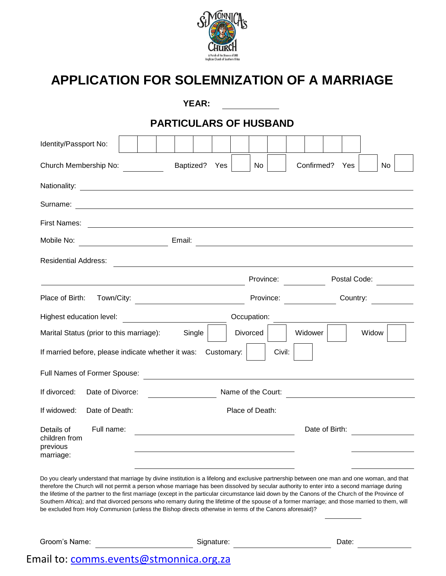

## **APPLICATION FOR SOLEMNIZATION OF A MARRIAGE**

|                                                                                                                                                                                                                                                                                                                                                                                                                                                                                                                                                                                                                                                                                                                 |  |  |  |                                                                                                                      | <b>YEAR:</b> |            |                                                           |             |        |            |                |              |                                                       |    |  |
|-----------------------------------------------------------------------------------------------------------------------------------------------------------------------------------------------------------------------------------------------------------------------------------------------------------------------------------------------------------------------------------------------------------------------------------------------------------------------------------------------------------------------------------------------------------------------------------------------------------------------------------------------------------------------------------------------------------------|--|--|--|----------------------------------------------------------------------------------------------------------------------|--------------|------------|-----------------------------------------------------------|-------------|--------|------------|----------------|--------------|-------------------------------------------------------|----|--|
|                                                                                                                                                                                                                                                                                                                                                                                                                                                                                                                                                                                                                                                                                                                 |  |  |  |                                                                                                                      |              |            | <b>PARTICULARS OF HUSBAND</b>                             |             |        |            |                |              |                                                       |    |  |
| Identity/Passport No:                                                                                                                                                                                                                                                                                                                                                                                                                                                                                                                                                                                                                                                                                           |  |  |  |                                                                                                                      |              |            |                                                           |             |        |            |                |              |                                                       |    |  |
| Church Membership No:                                                                                                                                                                                                                                                                                                                                                                                                                                                                                                                                                                                                                                                                                           |  |  |  | Baptized?                                                                                                            |              | Yes        |                                                           | No          |        | Confirmed? |                | Yes          |                                                       | No |  |
|                                                                                                                                                                                                                                                                                                                                                                                                                                                                                                                                                                                                                                                                                                                 |  |  |  |                                                                                                                      |              |            |                                                           |             |        |            |                |              |                                                       |    |  |
|                                                                                                                                                                                                                                                                                                                                                                                                                                                                                                                                                                                                                                                                                                                 |  |  |  |                                                                                                                      |              |            |                                                           |             |        |            |                |              |                                                       |    |  |
| <b>First Names:</b><br><u> 1999 - Johann John Stone, mensk politik en beskrivet og det forskeller og det forskeller og det forskeller o</u>                                                                                                                                                                                                                                                                                                                                                                                                                                                                                                                                                                     |  |  |  |                                                                                                                      |              |            |                                                           |             |        |            |                |              |                                                       |    |  |
| Mobile No:                                                                                                                                                                                                                                                                                                                                                                                                                                                                                                                                                                                                                                                                                                      |  |  |  | Email:                                                                                                               |              |            |                                                           |             |        |            |                |              | <u> 1989 - Johann Stein, fransk politik (f. 1989)</u> |    |  |
| <b>Residential Address:</b>                                                                                                                                                                                                                                                                                                                                                                                                                                                                                                                                                                                                                                                                                     |  |  |  |                                                                                                                      |              |            | <u> 1989 - Johann Barnett, fransk politiker (d. 1989)</u> |             |        |            |                |              |                                                       |    |  |
|                                                                                                                                                                                                                                                                                                                                                                                                                                                                                                                                                                                                                                                                                                                 |  |  |  |                                                                                                                      |              |            |                                                           | Province:   |        |            |                | Postal Code: |                                                       |    |  |
| Place of Birth:<br>Town/City:                                                                                                                                                                                                                                                                                                                                                                                                                                                                                                                                                                                                                                                                                   |  |  |  |                                                                                                                      |              |            |                                                           | Province:   |        |            |                | Country:     |                                                       |    |  |
| Highest education level:                                                                                                                                                                                                                                                                                                                                                                                                                                                                                                                                                                                                                                                                                        |  |  |  | <u> 1980 - Andrea Station Barbara, politik eta provincia eta provincia eta provincia eta provincia eta provincia</u> |              |            |                                                           | Occupation: |        |            |                |              |                                                       |    |  |
| Marital Status (prior to this marriage):<br><b>Divorced</b><br>Widower<br>Widow<br>Single                                                                                                                                                                                                                                                                                                                                                                                                                                                                                                                                                                                                                       |  |  |  |                                                                                                                      |              |            |                                                           |             |        |            |                |              |                                                       |    |  |
| If married before, please indicate whether it was: Customary:                                                                                                                                                                                                                                                                                                                                                                                                                                                                                                                                                                                                                                                   |  |  |  |                                                                                                                      |              |            |                                                           |             | Civil: |            |                |              |                                                       |    |  |
| Full Names of Former Spouse:                                                                                                                                                                                                                                                                                                                                                                                                                                                                                                                                                                                                                                                                                    |  |  |  |                                                                                                                      |              |            |                                                           |             |        |            |                |              |                                                       |    |  |
| If divorced:<br>Date of Divorce:                                                                                                                                                                                                                                                                                                                                                                                                                                                                                                                                                                                                                                                                                |  |  |  |                                                                                                                      |              |            | Name of the Court:                                        |             |        |            |                |              |                                                       |    |  |
| Date of Death:<br>If widowed:                                                                                                                                                                                                                                                                                                                                                                                                                                                                                                                                                                                                                                                                                   |  |  |  |                                                                                                                      |              |            | Place of Death:                                           |             |        |            |                |              |                                                       |    |  |
| Full name:<br>Details of<br>children from<br>previous<br>marriage:                                                                                                                                                                                                                                                                                                                                                                                                                                                                                                                                                                                                                                              |  |  |  |                                                                                                                      |              |            |                                                           |             |        |            | Date of Birth: |              |                                                       |    |  |
| Do you clearly understand that marriage by divine institution is a lifelong and exclusive partnership between one man and one woman, and that<br>therefore the Church will not permit a person whose marriage has been dissolved by secular authority to enter into a second marriage during<br>the lifetime of the partner to the first marriage (except in the particular circumstance laid down by the Canons of the Church of the Province of<br>Southern Africa); and that divorced persons who remarry during the lifetime of the spouse of a former marriage; and those married to them, will<br>be excluded from Holy Communion (unless the Bishop directs otherwise in terms of the Canons aforesaid)? |  |  |  |                                                                                                                      |              |            |                                                           |             |        |            |                |              |                                                       |    |  |
| Groom's Name:                                                                                                                                                                                                                                                                                                                                                                                                                                                                                                                                                                                                                                                                                                   |  |  |  |                                                                                                                      |              | Signature: |                                                           |             |        |            |                | Date:        |                                                       |    |  |

### Email to: [comms.events@stmonnica.org.za](mailto:comms.events@stmonnica.org.za)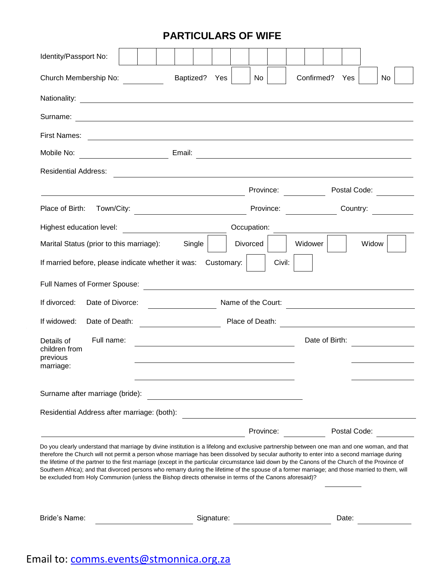#### **PARTICULARS OF WIFE**

| Identity/Passport No:                                                                                                                                                                                                                                                                                                                                                                                                                                                                                                                                                                                                                                                                                           |                                                            |                                                                                                                          |            |                    |             |        |                |              |                                             |     |  |
|-----------------------------------------------------------------------------------------------------------------------------------------------------------------------------------------------------------------------------------------------------------------------------------------------------------------------------------------------------------------------------------------------------------------------------------------------------------------------------------------------------------------------------------------------------------------------------------------------------------------------------------------------------------------------------------------------------------------|------------------------------------------------------------|--------------------------------------------------------------------------------------------------------------------------|------------|--------------------|-------------|--------|----------------|--------------|---------------------------------------------|-----|--|
| Church Membership No:                                                                                                                                                                                                                                                                                                                                                                                                                                                                                                                                                                                                                                                                                           |                                                            | Baptized?                                                                                                                | Yes        |                    | No          |        | Confirmed?     | Yes          |                                             | No. |  |
|                                                                                                                                                                                                                                                                                                                                                                                                                                                                                                                                                                                                                                                                                                                 |                                                            |                                                                                                                          |            |                    |             |        |                |              |                                             |     |  |
| Surname:                                                                                                                                                                                                                                                                                                                                                                                                                                                                                                                                                                                                                                                                                                        |                                                            |                                                                                                                          |            |                    |             |        |                |              |                                             |     |  |
| <b>First Names:</b>                                                                                                                                                                                                                                                                                                                                                                                                                                                                                                                                                                                                                                                                                             | <u> 1989 - Johann Barn, amerikansk politiker (d. 1989)</u> |                                                                                                                          |            |                    |             |        |                |              |                                             |     |  |
| Mobile No:                                                                                                                                                                                                                                                                                                                                                                                                                                                                                                                                                                                                                                                                                                      |                                                            | Email:                                                                                                                   |            |                    |             |        |                |              |                                             |     |  |
| <b>Residential Address:</b>                                                                                                                                                                                                                                                                                                                                                                                                                                                                                                                                                                                                                                                                                     |                                                            | <u>a sa barang sa mga barang sa mga barang sa mga barang sa mga barang sa mga barang sa mga barang sa mga barang sa </u> |            |                    |             |        |                |              |                                             |     |  |
|                                                                                                                                                                                                                                                                                                                                                                                                                                                                                                                                                                                                                                                                                                                 |                                                            |                                                                                                                          |            |                    | Province:   |        |                | Postal Code: |                                             |     |  |
| Place of Birth:<br>Town/City:                                                                                                                                                                                                                                                                                                                                                                                                                                                                                                                                                                                                                                                                                   |                                                            | <u> 1989 - Johann Barn, mars eta bainar eta idazlea (</u>                                                                |            |                    | Province:   |        |                | Country:     |                                             |     |  |
| Highest education level:                                                                                                                                                                                                                                                                                                                                                                                                                                                                                                                                                                                                                                                                                        |                                                            | <u> 1989 - Johann Harry Barn, mars a</u>                                                                                 |            |                    | Occupation: |        |                |              |                                             |     |  |
| Marital Status (prior to this marriage):                                                                                                                                                                                                                                                                                                                                                                                                                                                                                                                                                                                                                                                                        |                                                            | Single                                                                                                                   |            |                    | Divorced    |        | Widower        |              | Widow                                       |     |  |
| If married before, please indicate whether it was:                                                                                                                                                                                                                                                                                                                                                                                                                                                                                                                                                                                                                                                              |                                                            |                                                                                                                          | Customary: |                    |             | Civil: |                |              |                                             |     |  |
| Full Names of Former Spouse:                                                                                                                                                                                                                                                                                                                                                                                                                                                                                                                                                                                                                                                                                    |                                                            |                                                                                                                          |            |                    |             |        |                |              |                                             |     |  |
| Date of Divorce:<br>If divorced:                                                                                                                                                                                                                                                                                                                                                                                                                                                                                                                                                                                                                                                                                |                                                            |                                                                                                                          |            | Name of the Court: |             |        |                |              | <u> 1989 - Jan Samuel Barbara, martin d</u> |     |  |
| If widowed:<br>Date of Death:                                                                                                                                                                                                                                                                                                                                                                                                                                                                                                                                                                                                                                                                                   |                                                            |                                                                                                                          |            | Place of Death:    |             |        |                |              |                                             |     |  |
| Full name:<br>Details of<br>children from<br>previous<br>marriage:                                                                                                                                                                                                                                                                                                                                                                                                                                                                                                                                                                                                                                              |                                                            | <u> 1980 - Johann Barbara, martxa alemaniar a</u>                                                                        |            |                    |             |        | Date of Birth: |              |                                             |     |  |
| Surname after marriage (bride):                                                                                                                                                                                                                                                                                                                                                                                                                                                                                                                                                                                                                                                                                 |                                                            |                                                                                                                          |            |                    |             |        |                |              |                                             |     |  |
| Residential Address after marriage: (both):                                                                                                                                                                                                                                                                                                                                                                                                                                                                                                                                                                                                                                                                     |                                                            |                                                                                                                          |            |                    |             |        |                |              |                                             |     |  |
|                                                                                                                                                                                                                                                                                                                                                                                                                                                                                                                                                                                                                                                                                                                 |                                                            |                                                                                                                          |            |                    | Province:   |        |                | Postal Code: |                                             |     |  |
| Do you clearly understand that marriage by divine institution is a lifelong and exclusive partnership between one man and one woman, and that<br>therefore the Church will not permit a person whose marriage has been dissolved by secular authority to enter into a second marriage during<br>the lifetime of the partner to the first marriage (except in the particular circumstance laid down by the Canons of the Church of the Province of<br>Southern Africa); and that divorced persons who remarry during the lifetime of the spouse of a former marriage; and those married to them, will<br>be excluded from Holy Communion (unless the Bishop directs otherwise in terms of the Canons aforesaid)? |                                                            |                                                                                                                          |            |                    |             |        |                |              |                                             |     |  |
| Bride's Name:                                                                                                                                                                                                                                                                                                                                                                                                                                                                                                                                                                                                                                                                                                   |                                                            |                                                                                                                          | Signature: |                    |             |        |                | Date:        |                                             |     |  |

# Email to: [comms.events@stmonnica.org.za](mailto:comms.events@stmonnica.org.za)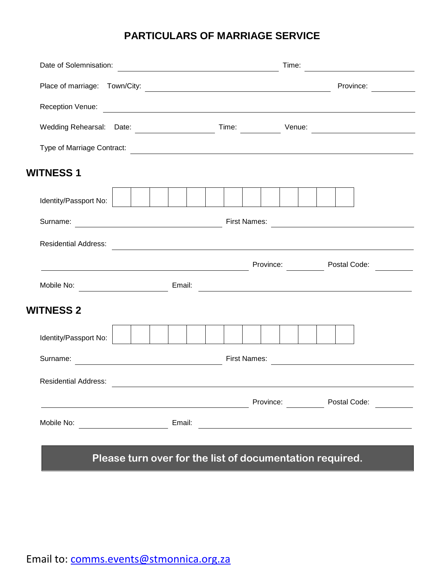#### **PARTICULARS OF MARRIAGE SERVICE**

| Date of Solemnisation:             | <u> 1980 - Johann Barn, amerikan bestemannten bestemannten bestemannten bestemannten bestemannten bestemannten b</u> |                     | Time:                  | <u> 1989 - Andrea Station Barbara (</u> |
|------------------------------------|----------------------------------------------------------------------------------------------------------------------|---------------------|------------------------|-----------------------------------------|
|                                    |                                                                                                                      |                     |                        | Province:                               |
|                                    | Reception Venue:                                                                                                     |                     |                        |                                         |
|                                    |                                                                                                                      |                     |                        |                                         |
|                                    | Type of Marriage Contract:<br><b>Example 2018</b> Type of Marriage Contract:                                         |                     |                        |                                         |
| <b>WITNESS 1</b>                   |                                                                                                                      |                     |                        |                                         |
| Identity/Passport No:              |                                                                                                                      |                     |                        |                                         |
| Surname:                           |                                                                                                                      | <b>First Names:</b> |                        |                                         |
| <b>Residential Address:</b>        | <u> 1980 - Johann Barn, mars ann an t-Amhain Aonaich an t-Aonaich an t-Aonaich ann an t-Aonaich ann an t-Aonaich</u> |                     |                        |                                         |
|                                    | <u> 1989 - Johann Barn, mars eta bainar eta industrial eta bainar eta baina eta baina eta baina eta baina eta ba</u> |                     | Province: Postal Code: |                                         |
| Mobile No: _______________________ | Email:                                                                                                               |                     |                        |                                         |
| <b>WITNESS 2</b>                   |                                                                                                                      |                     |                        |                                         |
| Identity/Passport No:              |                                                                                                                      |                     |                        |                                         |
| Surname:                           |                                                                                                                      | <b>First Names:</b> |                        |                                         |
| <b>Residential Address:</b>        |                                                                                                                      |                     |                        |                                         |
|                                    | <u> 1980 - Johann Barn, fransk politik (d. 1980)</u>                                                                 |                     | Province:              | Postal Code:                            |
| Mobile No:                         | Email:                                                                                                               |                     |                        |                                         |
|                                    |                                                                                                                      |                     |                        |                                         |

### **Please turn over for the list of documentation required.**

Email to: [comms.events@stmonnica.org.za](mailto:comms.events@stmonnica.org.za)